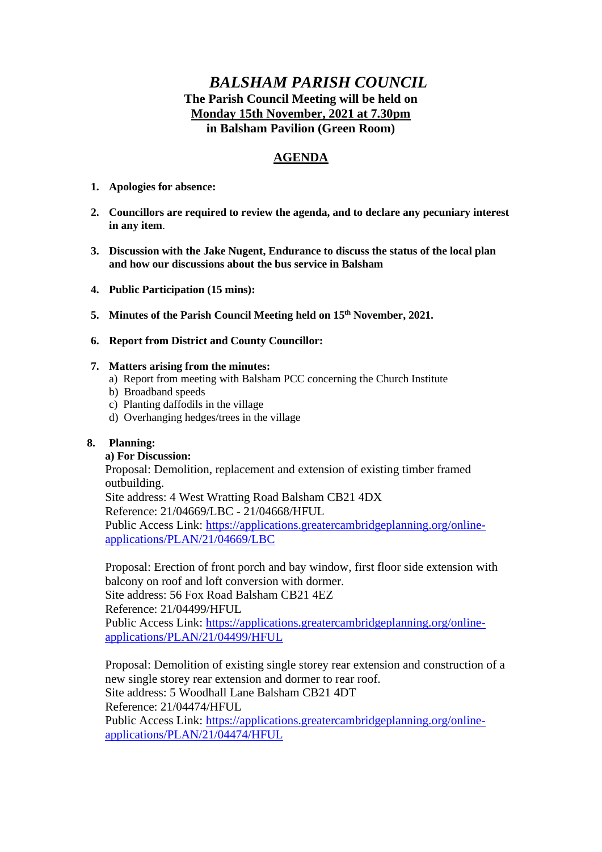# *BALSHAM PARISH COUNCIL* **The Parish Council Meeting will be held on Monday 15th November, 2021 at 7.30pm in Balsham Pavilion (Green Room)**

# **AGENDA**

- **1. Apologies for absence:**
- **2. Councillors are required to review the agenda, and to declare any pecuniary interest in any item**.
- **3. Discussion with the Jake Nugent, Endurance to discuss the status of the local plan and how our discussions about the bus service in Balsham**
- **4. Public Participation (15 mins):**
- **5. Minutes of the Parish Council Meeting held on 15th November, 2021.**
- **6. Report from District and County Councillor:**

## **7. Matters arising from the minutes:**

- a) Report from meeting with Balsham PCC concerning the Church Institute
- b) Broadband speeds
- c) Planting daffodils in the village
- d) Overhanging hedges/trees in the village

## **8. Planning:**

## **a) For Discussion:**

Proposal: Demolition, replacement and extension of existing timber framed outbuilding.

Site address: 4 West Wratting Road Balsham CB21 4DX Reference: 21/04669/LBC - 21/04668/HFUL Public Access Link: [https://applications.greatercambridgeplanning.org/online](https://applications.greatercambridgeplanning.org/online-applications/PLAN/21/04669/LBC)[applications/PLAN/21/04669/LBC](https://applications.greatercambridgeplanning.org/online-applications/PLAN/21/04669/LBC)

Proposal: Erection of front porch and bay window, first floor side extension with balcony on roof and loft conversion with dormer. Site address: 56 Fox Road Balsham CB21 4EZ Reference: 21/04499/HFUL Public Access Link: [https://applications.greatercambridgeplanning.org/online](https://applications.greatercambridgeplanning.org/online-applications/PLAN/21/04499/HFUL)[applications/PLAN/21/04499/HFUL](https://applications.greatercambridgeplanning.org/online-applications/PLAN/21/04499/HFUL)

Proposal: Demolition of existing single storey rear extension and construction of a new single storey rear extension and dormer to rear roof. Site address: 5 Woodhall Lane Balsham CB21 4DT Reference: 21/04474/HFUL Public Access Link: [https://applications.greatercambridgeplanning.org/online](https://applications.greatercambridgeplanning.org/online-applications/PLAN/21/04474/HFUL)[applications/PLAN/21/04474/HFUL](https://applications.greatercambridgeplanning.org/online-applications/PLAN/21/04474/HFUL)